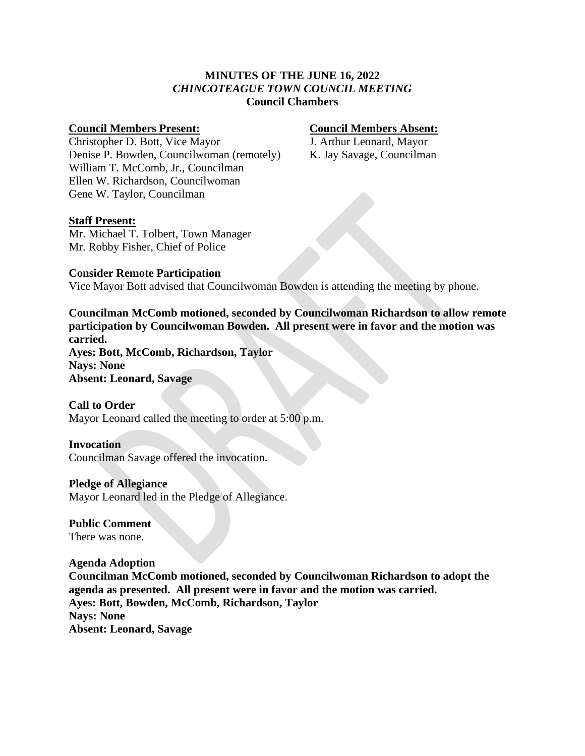# **MINUTES OF THE JUNE 16, 2022** *CHINCOTEAGUE TOWN COUNCIL MEETING* **Council Chambers**

# **Council Members Present: Council Members Absent:**

Christopher D. Bott, Vice Mayor J. Arthur Leonard, Mayor Denise P. Bowden, Councilwoman (remotely) K. Jay Savage, Councilman William T. McComb, Jr., Councilman Ellen W. Richardson, Councilwoman Gene W. Taylor, Councilman

# **Staff Present:**

Mr. Michael T. Tolbert, Town Manager Mr. Robby Fisher, Chief of Police

### **Consider Remote Participation** Vice Mayor Bott advised that Councilwoman Bowden is attending the meeting by phone.

**Councilman McComb motioned, seconded by Councilwoman Richardson to allow remote participation by Councilwoman Bowden. All present were in favor and the motion was carried.**

**Ayes: Bott, McComb, Richardson, Taylor Nays: None Absent: Leonard, Savage**

# **Call to Order**

Mayor Leonard called the meeting to order at 5:00 p.m.

# **Invocation**

Councilman Savage offered the invocation.

# **Pledge of Allegiance**

Mayor Leonard led in the Pledge of Allegiance.

**Public Comment** There was none.

# **Agenda Adoption**

**Councilman McComb motioned, seconded by Councilwoman Richardson to adopt the agenda as presented. All present were in favor and the motion was carried. Ayes: Bott, Bowden, McComb, Richardson, Taylor Nays: None Absent: Leonard, Savage**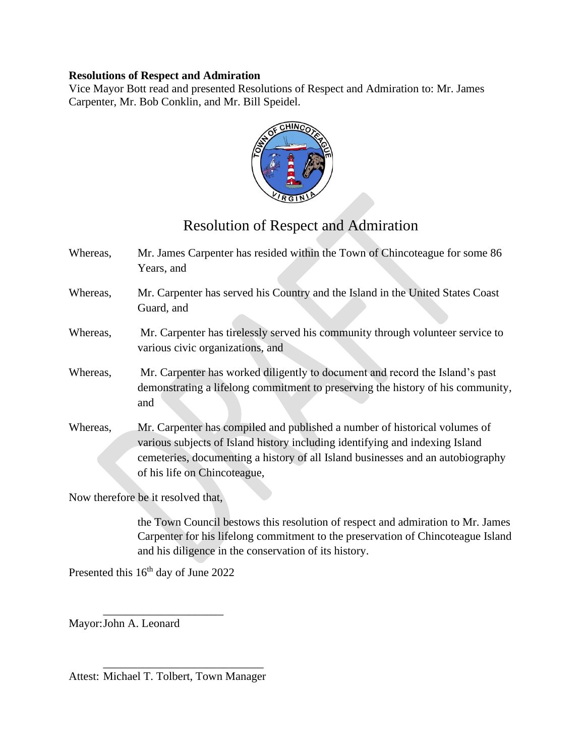# **Resolutions of Respect and Admiration**

Vice Mayor Bott read and presented Resolutions of Respect and Admiration to: Mr. James Carpenter, Mr. Bob Conklin, and Mr. Bill Speidel.



# Resolution of Respect and Admiration

Whereas, Mr. James Carpenter has resided within the Town of Chincoteague for some 86 Years, and Whereas, Mr. Carpenter has served his Country and the Island in the United States Coast Guard, and Whereas, Mr. Carpenter has tirelessly served his community through volunteer service to various civic organizations, and Whereas, Mr. Carpenter has worked diligently to document and record the Island's past demonstrating a lifelong commitment to preserving the history of his community, and Whereas, Mr. Carpenter has compiled and published a number of historical volumes of various subjects of Island history including identifying and indexing Island cemeteries, documenting a history of all Island businesses and an autobiography

Now therefore be it resolved that,

of his life on Chincoteague,

the Town Council bestows this resolution of respect and admiration to Mr. James Carpenter for his lifelong commitment to the preservation of Chincoteague Island and his diligence in the conservation of its history.

Presented this 16<sup>th</sup> day of June 2022

Mayor:John A. Leonard

 $\frac{1}{\sqrt{2}}$  ,  $\frac{1}{\sqrt{2}}$  ,  $\frac{1}{\sqrt{2}}$  ,  $\frac{1}{\sqrt{2}}$  ,  $\frac{1}{\sqrt{2}}$  ,  $\frac{1}{\sqrt{2}}$  ,  $\frac{1}{\sqrt{2}}$  ,  $\frac{1}{\sqrt{2}}$  ,  $\frac{1}{\sqrt{2}}$  ,  $\frac{1}{\sqrt{2}}$  ,  $\frac{1}{\sqrt{2}}$  ,  $\frac{1}{\sqrt{2}}$  ,  $\frac{1}{\sqrt{2}}$  ,  $\frac{1}{\sqrt{2}}$  ,  $\frac{1}{\sqrt{2}}$ Attest: Michael T. Tolbert, Town Manager

\_\_\_\_\_\_\_\_\_\_\_\_\_\_\_\_\_\_\_\_\_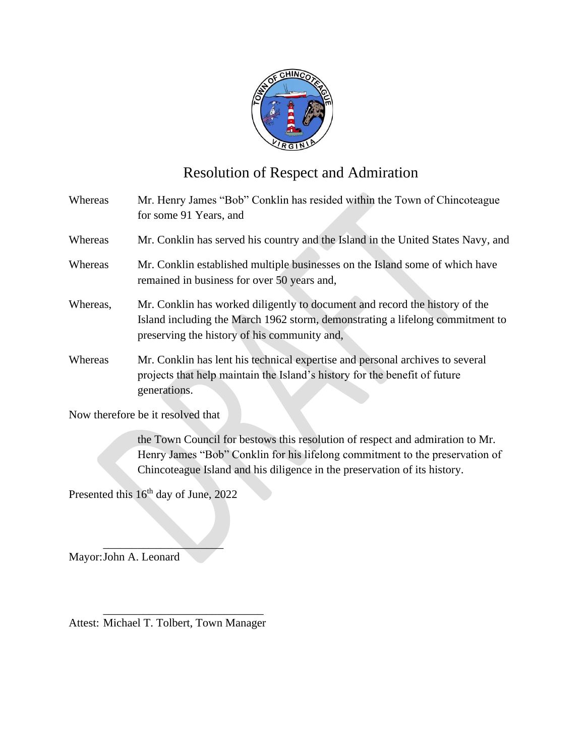

# Resolution of Respect and Admiration

Whereas Mr. Henry James "Bob" Conklin has resided within the Town of Chincoteague for some 91 Years, and Whereas Mr. Conklin has served his country and the Island in the United States Navy, and Whereas Mr. Conklin established multiple businesses on the Island some of which have remained in business for over 50 years and, Whereas, Mr. Conklin has worked diligently to document and record the history of the Island including the March 1962 storm, demonstrating a lifelong commitment to preserving the history of his community and, Whereas Mr. Conklin has lent his technical expertise and personal archives to several projects that help maintain the Island's history for the benefit of future generations. Now therefore be it resolved that

> the Town Council for bestows this resolution of respect and admiration to Mr. Henry James "Bob" Conklin for his lifelong commitment to the preservation of Chincoteague Island and his diligence in the preservation of its history.

Presented this  $16<sup>th</sup>$  day of June, 2022

 $\mathcal{L}$ Mayor:John A. Leonard

 $\frac{1}{2}$  ,  $\frac{1}{2}$  ,  $\frac{1}{2}$  ,  $\frac{1}{2}$  ,  $\frac{1}{2}$  ,  $\frac{1}{2}$  ,  $\frac{1}{2}$  ,  $\frac{1}{2}$  ,  $\frac{1}{2}$  ,  $\frac{1}{2}$  ,  $\frac{1}{2}$  ,  $\frac{1}{2}$  ,  $\frac{1}{2}$  ,  $\frac{1}{2}$  ,  $\frac{1}{2}$  ,  $\frac{1}{2}$  ,  $\frac{1}{2}$  ,  $\frac{1}{2}$  ,  $\frac{1$ Attest: Michael T. Tolbert, Town Manager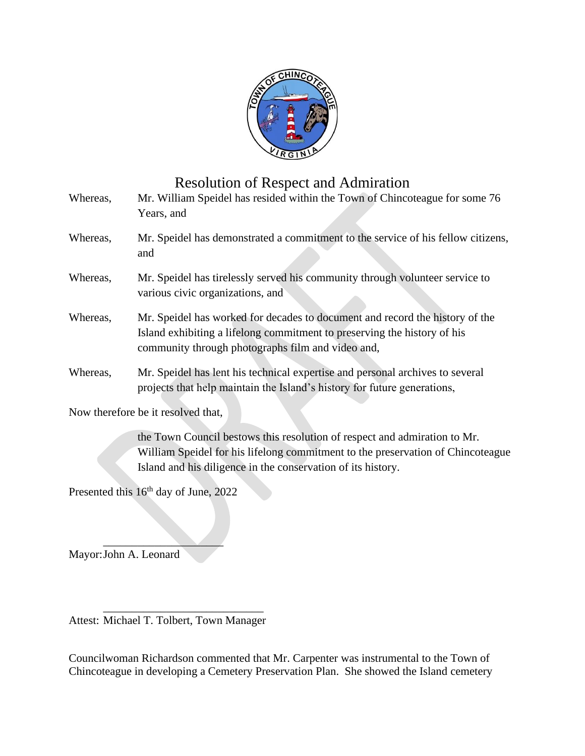

# Resolution of Respect and Admiration

| Whereas, | Mr. William Speidel has resided within the Town of Chincoteague for some 76<br>Years, and                                                                                                                     |
|----------|---------------------------------------------------------------------------------------------------------------------------------------------------------------------------------------------------------------|
| Whereas, | Mr. Speidel has demonstrated a commitment to the service of his fellow citizens,<br>and                                                                                                                       |
| Whereas, | Mr. Speidel has tirelessly served his community through volunteer service to<br>various civic organizations, and                                                                                              |
| Whereas, | Mr. Speidel has worked for decades to document and record the history of the<br>Island exhibiting a lifelong commitment to preserving the history of his<br>community through photographs film and video and, |
| Whereas, | Mr. Speidel has lent his technical expertise and personal archives to several<br>projects that help maintain the Island's history for future generations,                                                     |
|          | Now therefore be it resolved that,                                                                                                                                                                            |

the Town Council bestows this resolution of respect and admiration to Mr. William Speidel for his lifelong commitment to the preservation of Chincoteague Island and his diligence in the conservation of its history.

Presented this 16<sup>th</sup> day of June, 2022

 $\mathcal{L}$ 

Mayor:John A. Leonard

 $\frac{1}{\sqrt{2}}$  ,  $\frac{1}{\sqrt{2}}$  ,  $\frac{1}{\sqrt{2}}$  ,  $\frac{1}{\sqrt{2}}$  ,  $\frac{1}{\sqrt{2}}$  ,  $\frac{1}{\sqrt{2}}$  ,  $\frac{1}{\sqrt{2}}$  ,  $\frac{1}{\sqrt{2}}$  ,  $\frac{1}{\sqrt{2}}$  ,  $\frac{1}{\sqrt{2}}$  ,  $\frac{1}{\sqrt{2}}$  ,  $\frac{1}{\sqrt{2}}$  ,  $\frac{1}{\sqrt{2}}$  ,  $\frac{1}{\sqrt{2}}$  ,  $\frac{1}{\sqrt{2}}$ Attest: Michael T. Tolbert, Town Manager

Councilwoman Richardson commented that Mr. Carpenter was instrumental to the Town of Chincoteague in developing a Cemetery Preservation Plan. She showed the Island cemetery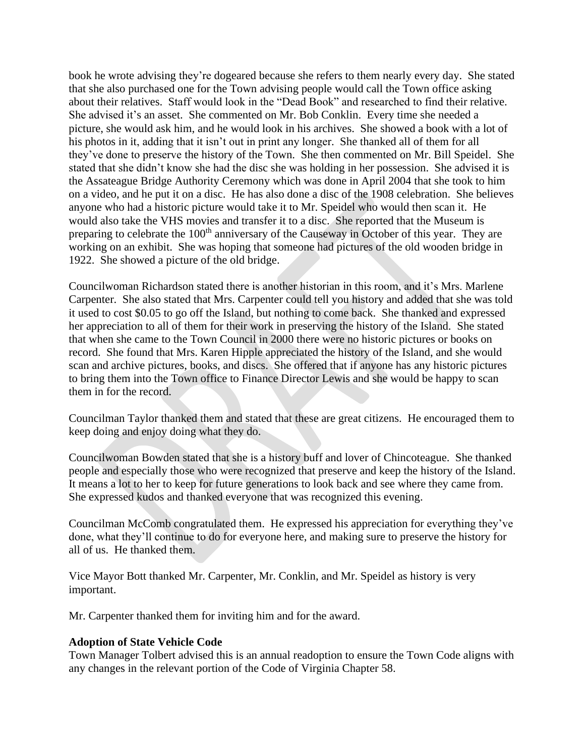book he wrote advising they're dogeared because she refers to them nearly every day. She stated that she also purchased one for the Town advising people would call the Town office asking about their relatives. Staff would look in the "Dead Book" and researched to find their relative. She advised it's an asset. She commented on Mr. Bob Conklin. Every time she needed a picture, she would ask him, and he would look in his archives. She showed a book with a lot of his photos in it, adding that it isn't out in print any longer. She thanked all of them for all they've done to preserve the history of the Town. She then commented on Mr. Bill Speidel. She stated that she didn't know she had the disc she was holding in her possession. She advised it is the Assateague Bridge Authority Ceremony which was done in April 2004 that she took to him on a video, and he put it on a disc. He has also done a disc of the 1908 celebration. She believes anyone who had a historic picture would take it to Mr. Speidel who would then scan it. He would also take the VHS movies and transfer it to a disc. She reported that the Museum is preparing to celebrate the 100<sup>th</sup> anniversary of the Causeway in October of this year. They are working on an exhibit. She was hoping that someone had pictures of the old wooden bridge in 1922. She showed a picture of the old bridge.

Councilwoman Richardson stated there is another historian in this room, and it's Mrs. Marlene Carpenter. She also stated that Mrs. Carpenter could tell you history and added that she was told it used to cost \$0.05 to go off the Island, but nothing to come back. She thanked and expressed her appreciation to all of them for their work in preserving the history of the Island. She stated that when she came to the Town Council in 2000 there were no historic pictures or books on record. She found that Mrs. Karen Hipple appreciated the history of the Island, and she would scan and archive pictures, books, and discs. She offered that if anyone has any historic pictures to bring them into the Town office to Finance Director Lewis and she would be happy to scan them in for the record.

Councilman Taylor thanked them and stated that these are great citizens. He encouraged them to keep doing and enjoy doing what they do.

Councilwoman Bowden stated that she is a history buff and lover of Chincoteague. She thanked people and especially those who were recognized that preserve and keep the history of the Island. It means a lot to her to keep for future generations to look back and see where they came from. She expressed kudos and thanked everyone that was recognized this evening.

Councilman McComb congratulated them. He expressed his appreciation for everything they've done, what they'll continue to do for everyone here, and making sure to preserve the history for all of us. He thanked them.

Vice Mayor Bott thanked Mr. Carpenter, Mr. Conklin, and Mr. Speidel as history is very important.

Mr. Carpenter thanked them for inviting him and for the award.

# **Adoption of State Vehicle Code**

Town Manager Tolbert advised this is an annual readoption to ensure the Town Code aligns with any changes in the relevant portion of the Code of Virginia Chapter 58.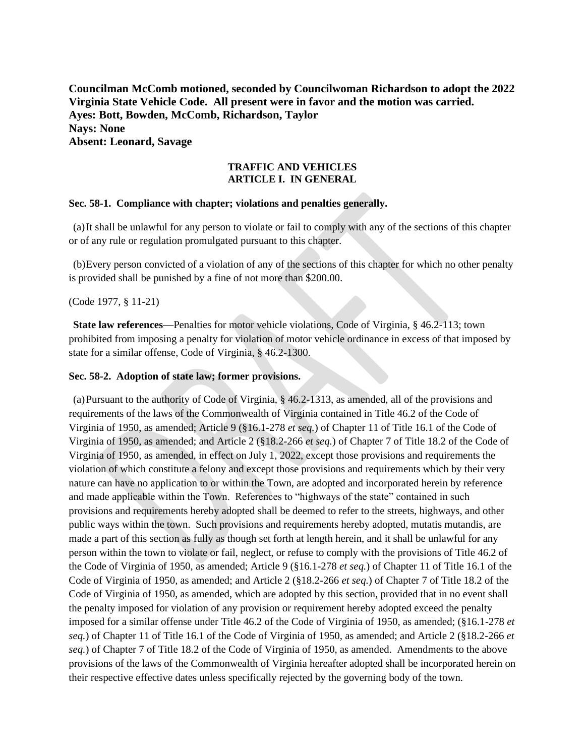**Councilman McComb motioned, seconded by Councilwoman Richardson to adopt the 2022 Virginia State Vehicle Code. All present were in favor and the motion was carried. Ayes: Bott, Bowden, McComb, Richardson, Taylor Nays: None Absent: Leonard, Savage**

### **TRAFFIC AND VEHICLES ARTICLE I. IN GENERAL**

#### **Sec. 58-1. Compliance with chapter; violations and penalties generally.**

(a)It shall be unlawful for any person to violate or fail to comply with any of the sections of this chapter or of any rule or regulation promulgated pursuant to this chapter.

(b)Every person convicted of a violation of any of the sections of this chapter for which no other penalty is provided shall be punished by a fine of not more than \$200.00.

#### (Code 1977, § 11-21)

**State law references—**Penalties for motor vehicle violations, Code of Virginia, § 46.2-113; town prohibited from imposing a penalty for violation of motor vehicle ordinance in excess of that imposed by state for a similar offense, Code of Virginia, § 46.2-1300.

#### **Sec. 58-2. Adoption of state law; former provisions.**

(a)Pursuant to the authority of Code of Virginia, § 46.2-1313, as amended, all of the provisions and requirements of the laws of the Commonwealth of Virginia contained in Title 46.2 of the Code of Virginia of 1950, as amended; Article 9 (§16.1-278 *et seq.*) of Chapter 11 of Title 16.1 of the Code of Virginia of 1950, as amended; and Article 2 (§18.2-266 *et seq.*) of Chapter 7 of Title 18.2 of the Code of Virginia of 1950, as amended, in effect on July 1, 2022, except those provisions and requirements the violation of which constitute a felony and except those provisions and requirements which by their very nature can have no application to or within the Town, are adopted and incorporated herein by reference and made applicable within the Town. References to "highways of the state" contained in such provisions and requirements hereby adopted shall be deemed to refer to the streets, highways, and other public ways within the town. Such provisions and requirements hereby adopted, mutatis mutandis, are made a part of this section as fully as though set forth at length herein, and it shall be unlawful for any person within the town to violate or fail, neglect, or refuse to comply with the provisions of Title 46.2 of the Code of Virginia of 1950, as amended; Article 9 (§16.1-278 *et seq.*) of Chapter 11 of Title 16.1 of the Code of Virginia of 1950, as amended; and Article 2 (§18.2-266 *et seq.*) of Chapter 7 of Title 18.2 of the Code of Virginia of 1950, as amended, which are adopted by this section, provided that in no event shall the penalty imposed for violation of any provision or requirement hereby adopted exceed the penalty imposed for a similar offense under Title 46.2 of the Code of Virginia of 1950, as amended; (§16.1-278 *et seq.*) of Chapter 11 of Title 16.1 of the Code of Virginia of 1950, as amended; and Article 2 (§18.2-266 *et seq.*) of Chapter 7 of Title 18.2 of the Code of Virginia of 1950, as amended. Amendments to the above provisions of the laws of the Commonwealth of Virginia hereafter adopted shall be incorporated herein on their respective effective dates unless specifically rejected by the governing body of the town.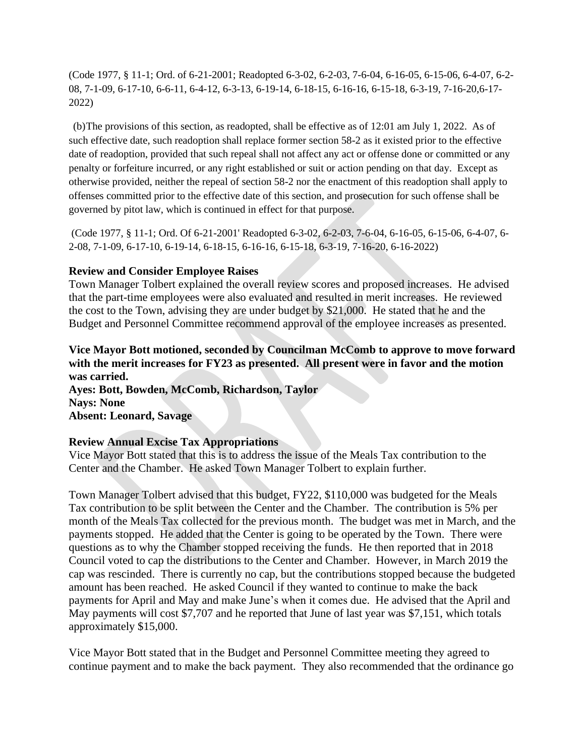(Code 1977, § 11-1; Ord. of 6-21-2001; Readopted 6-3-02, 6-2-03, 7-6-04, 6-16-05, 6-15-06, 6-4-07, 6-2- 08, 7-1-09, 6-17-10, 6-6-11, 6-4-12, 6-3-13, 6-19-14, 6-18-15, 6-16-16, 6-15-18, 6-3-19, 7-16-20,6-17- 2022)

(b)The provisions of this section, as readopted, shall be effective as of 12:01 am July 1, 2022. As of such effective date, such readoption shall replace former section 58-2 as it existed prior to the effective date of readoption, provided that such repeal shall not affect any act or offense done or committed or any penalty or forfeiture incurred, or any right established or suit or action pending on that day. Except as otherwise provided, neither the repeal of section 58-2 nor the enactment of this readoption shall apply to offenses committed prior to the effective date of this section, and prosecution for such offense shall be governed by pitot law, which is continued in effect for that purpose.

(Code 1977, § 11-1; Ord. Of 6-21-2001' Readopted 6-3-02, 6-2-03, 7-6-04, 6-16-05, 6-15-06, 6-4-07, 6- 2-08, 7-1-09, 6-17-10, 6-19-14, 6-18-15, 6-16-16, 6-15-18, 6-3-19, 7-16-20, 6-16-2022)

# **Review and Consider Employee Raises**

Town Manager Tolbert explained the overall review scores and proposed increases. He advised that the part-time employees were also evaluated and resulted in merit increases. He reviewed the cost to the Town, advising they are under budget by \$21,000. He stated that he and the Budget and Personnel Committee recommend approval of the employee increases as presented.

# **Vice Mayor Bott motioned, seconded by Councilman McComb to approve to move forward with the merit increases for FY23 as presented. All present were in favor and the motion was carried.**

**Ayes: Bott, Bowden, McComb, Richardson, Taylor Nays: None Absent: Leonard, Savage**

# **Review Annual Excise Tax Appropriations**

Vice Mayor Bott stated that this is to address the issue of the Meals Tax contribution to the Center and the Chamber. He asked Town Manager Tolbert to explain further.

Town Manager Tolbert advised that this budget, FY22, \$110,000 was budgeted for the Meals Tax contribution to be split between the Center and the Chamber. The contribution is 5% per month of the Meals Tax collected for the previous month. The budget was met in March, and the payments stopped. He added that the Center is going to be operated by the Town. There were questions as to why the Chamber stopped receiving the funds. He then reported that in 2018 Council voted to cap the distributions to the Center and Chamber. However, in March 2019 the cap was rescinded. There is currently no cap, but the contributions stopped because the budgeted amount has been reached. He asked Council if they wanted to continue to make the back payments for April and May and make June's when it comes due. He advised that the April and May payments will cost \$7,707 and he reported that June of last year was \$7,151, which totals approximately \$15,000.

Vice Mayor Bott stated that in the Budget and Personnel Committee meeting they agreed to continue payment and to make the back payment. They also recommended that the ordinance go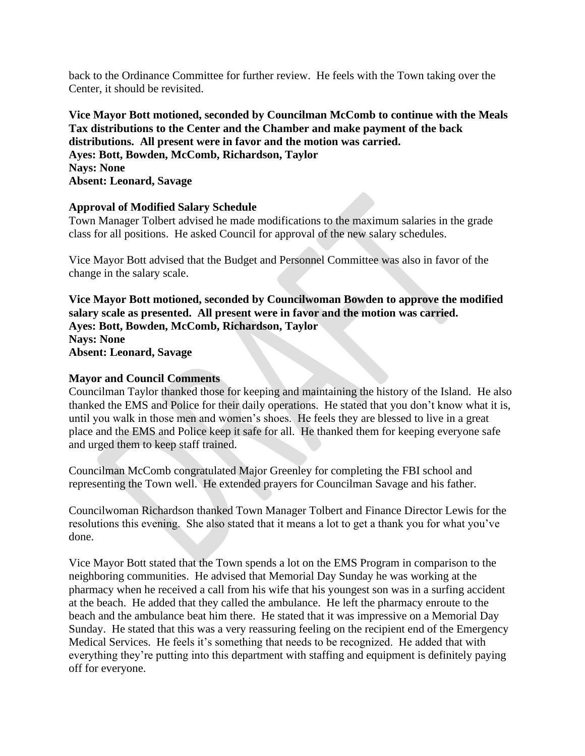back to the Ordinance Committee for further review. He feels with the Town taking over the Center, it should be revisited.

**Vice Mayor Bott motioned, seconded by Councilman McComb to continue with the Meals Tax distributions to the Center and the Chamber and make payment of the back distributions. All present were in favor and the motion was carried. Ayes: Bott, Bowden, McComb, Richardson, Taylor Nays: None Absent: Leonard, Savage**

# **Approval of Modified Salary Schedule**

Town Manager Tolbert advised he made modifications to the maximum salaries in the grade class for all positions. He asked Council for approval of the new salary schedules.

Vice Mayor Bott advised that the Budget and Personnel Committee was also in favor of the change in the salary scale.

**Vice Mayor Bott motioned, seconded by Councilwoman Bowden to approve the modified salary scale as presented. All present were in favor and the motion was carried. Ayes: Bott, Bowden, McComb, Richardson, Taylor Nays: None Absent: Leonard, Savage**

### **Mayor and Council Comments**

Councilman Taylor thanked those for keeping and maintaining the history of the Island. He also thanked the EMS and Police for their daily operations. He stated that you don't know what it is, until you walk in those men and women's shoes. He feels they are blessed to live in a great place and the EMS and Police keep it safe for all. He thanked them for keeping everyone safe and urged them to keep staff trained.

Councilman McComb congratulated Major Greenley for completing the FBI school and representing the Town well. He extended prayers for Councilman Savage and his father.

Councilwoman Richardson thanked Town Manager Tolbert and Finance Director Lewis for the resolutions this evening. She also stated that it means a lot to get a thank you for what you've done.

Vice Mayor Bott stated that the Town spends a lot on the EMS Program in comparison to the neighboring communities. He advised that Memorial Day Sunday he was working at the pharmacy when he received a call from his wife that his youngest son was in a surfing accident at the beach. He added that they called the ambulance. He left the pharmacy enroute to the beach and the ambulance beat him there. He stated that it was impressive on a Memorial Day Sunday. He stated that this was a very reassuring feeling on the recipient end of the Emergency Medical Services. He feels it's something that needs to be recognized. He added that with everything they're putting into this department with staffing and equipment is definitely paying off for everyone.